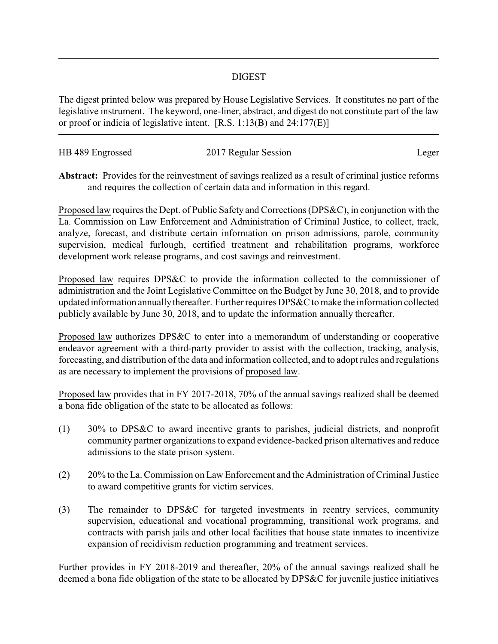## DIGEST

The digest printed below was prepared by House Legislative Services. It constitutes no part of the legislative instrument. The keyword, one-liner, abstract, and digest do not constitute part of the law or proof or indicia of legislative intent. [R.S. 1:13(B) and 24:177(E)]

| HB 489 Engrossed | 2017 Regular Session |       |
|------------------|----------------------|-------|
|                  |                      | Leger |

**Abstract:** Provides for the reinvestment of savings realized as a result of criminal justice reforms and requires the collection of certain data and information in this regard.

Proposed law requires the Dept. of Public Safety and Corrections (DPS&C), in conjunction with the La. Commission on Law Enforcement and Administration of Criminal Justice, to collect, track, analyze, forecast, and distribute certain information on prison admissions, parole, community supervision, medical furlough, certified treatment and rehabilitation programs, workforce development work release programs, and cost savings and reinvestment.

Proposed law requires DPS&C to provide the information collected to the commissioner of administration and the Joint Legislative Committee on the Budget by June 30, 2018, and to provide updated information annuallythereafter. Further requires DPS&C to make the information collected publicly available by June 30, 2018, and to update the information annually thereafter.

Proposed law authorizes DPS&C to enter into a memorandum of understanding or cooperative endeavor agreement with a third-party provider to assist with the collection, tracking, analysis, forecasting, and distribution of the data and information collected, and to adopt rules and regulations as are necessary to implement the provisions of proposed law.

Proposed law provides that in FY 2017-2018, 70% of the annual savings realized shall be deemed a bona fide obligation of the state to be allocated as follows:

- (1) 30% to DPS&C to award incentive grants to parishes, judicial districts, and nonprofit community partner organizations to expand evidence-backed prison alternatives and reduce admissions to the state prison system.
- (2) 20% to the La. Commission on Law Enforcement and the Administration of Criminal Justice to award competitive grants for victim services.
- (3) The remainder to DPS&C for targeted investments in reentry services, community supervision, educational and vocational programming, transitional work programs, and contracts with parish jails and other local facilities that house state inmates to incentivize expansion of recidivism reduction programming and treatment services.

Further provides in FY 2018-2019 and thereafter, 20% of the annual savings realized shall be deemed a bona fide obligation of the state to be allocated by DPS&C for juvenile justice initiatives